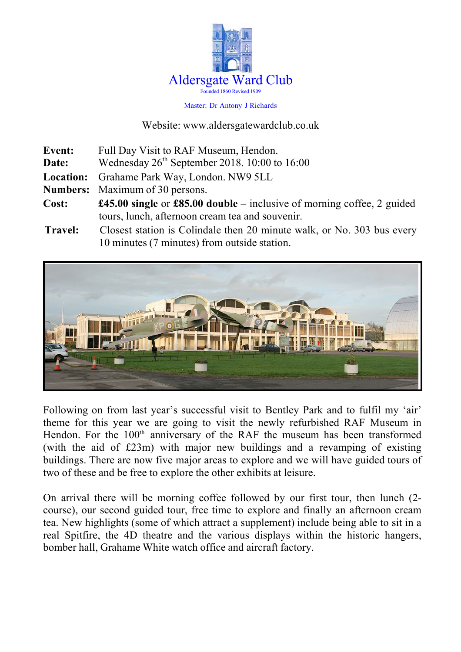

#### Master: Dr Antony J Richards

#### Website: www.aldersgatewardclub.co.uk

| Event:         | Full Day Visit to RAF Museum, Hendon.                                                |  |
|----------------|--------------------------------------------------------------------------------------|--|
| Date:          | Wednesday $26th$ September 2018. 10:00 to 16:00                                      |  |
|                | Location: Grahame Park Way, London. NW9 5LL                                          |  |
|                | <b>Numbers:</b> Maximum of 30 persons.                                               |  |
| Cost:          | <b>£45.00 single</b> or <b>£85.00 double</b> – inclusive of morning coffee, 2 guided |  |
|                | tours, lunch, afternoon cream tea and souvenir.                                      |  |
| <b>Travel:</b> | Closest station is Colindale then 20 minute walk, or No. 303 bus every               |  |
|                | 10 minutes (7 minutes) from outside station.                                         |  |



Following on from last year's successful visit to Bentley Park and to fulfil my 'air' theme for this year we are going to visit the newly refurbished RAF Museum in Hendon. For the  $100<sup>th</sup>$  anniversary of the RAF the museum has been transformed (with the aid of £23m) with major new buildings and a revamping of existing buildings. There are now five major areas to explore and we will have guided tours of two of these and be free to explore the other exhibits at leisure.

On arrival there will be morning coffee followed by our first tour, then lunch (2 course), our second guided tour, free time to explore and finally an afternoon cream tea. New highlights (some of which attract a supplement) include being able to sit in a real Spitfire, the 4D theatre and the various displays within the historic hangers, bomber hall, Grahame White watch office and aircraft factory.